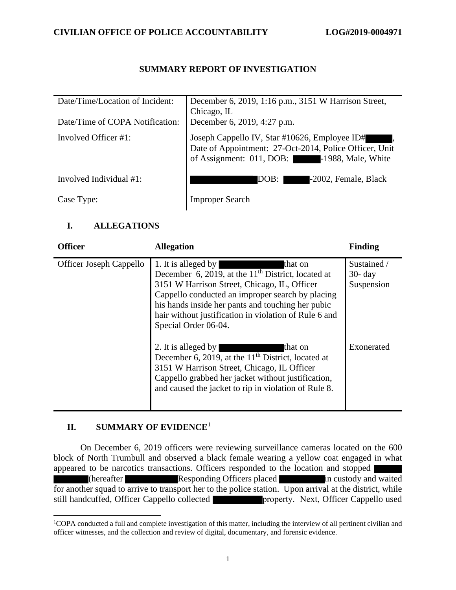## **SUMMARY REPORT OF INVESTIGATION**

| Date/Time/Location of Incident: | December 6, 2019, 1:16 p.m., 3151 W Harrison Street,<br>Chicago, IL                                                                                    |
|---------------------------------|--------------------------------------------------------------------------------------------------------------------------------------------------------|
| Date/Time of COPA Notification: | December 6, 2019, 4:27 p.m.                                                                                                                            |
| Involved Officer #1:            | Joseph Cappello IV, Star #10626, Employee ID#<br>Date of Appointment: 27-Oct-2014, Police Officer, Unit<br>of Assignment: 011, DOB: -1988, Male, White |
| Involved Individual #1:         | -2002, Female, Black<br>DOB: 1                                                                                                                         |
| Case Type:                      | <b>Improper Search</b>                                                                                                                                 |

## **I. ALLEGATIONS**

| <b>Officer</b>                 | <b>Allegation</b>                                                                                                                                                                                                                                                                                                                | <b>Finding</b>                          |
|--------------------------------|----------------------------------------------------------------------------------------------------------------------------------------------------------------------------------------------------------------------------------------------------------------------------------------------------------------------------------|-----------------------------------------|
| <b>Officer Joseph Cappello</b> | 1. It is alleged by<br>that on<br>December 6, 2019, at the $11th$ District, located at<br>3151 W Harrison Street, Chicago, IL, Officer<br>Cappello conducted an improper search by placing<br>his hands inside her pants and touching her pubic<br>hair without justification in violation of Rule 6 and<br>Special Order 06-04. | Sustained /<br>$30 - day$<br>Suspension |
|                                | 2. It is alleged by<br>that on<br>December 6, 2019, at the $11th$ District, located at<br>3151 W Harrison Street, Chicago, IL Officer<br>Cappello grabbed her jacket without justification,<br>and caused the jacket to rip in violation of Rule 8.                                                                              | Exonerated                              |

## **II. SUMMARY OF EVIDENCE**<sup>1</sup>

On December 6, 2019 officers were reviewing surveillance cameras located on the 600 block of North Trumbull and observed a black female wearing a yellow coat engaged in what appeared to be narcotics transactions. Officers responded to the location and stopped (hereafter Responding Officers placed in custody and waited for another squad to arrive to transport her to the police station. Upon arrival at the district, while still handcuffed, Officer Cappello collected **property.** Next, Officer Cappello used

<sup>&</sup>lt;sup>1</sup>COPA conducted a full and complete investigation of this matter, including the interview of all pertinent civilian and officer witnesses, and the collection and review of digital, documentary, and forensic evidence.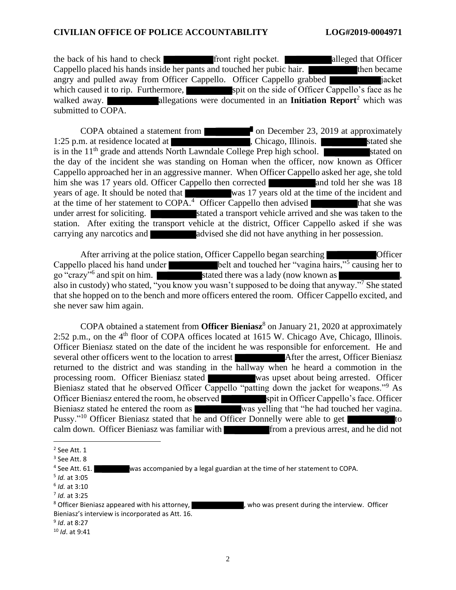the back of his hand to check front right pocket. alleged that Officer Cappello placed his hands inside her pants and touched her pubic hair. then became angry and pulled away from Officer Cappello. Officer Cappello grabbed in a jacket which caused it to rip. Furthermore, spit on the side of Officer Cappello's face as he walked away. **allegations were documented in an Initiation Report**<sup>2</sup> which was submitted to COPA.

COPA obtained a statement from **the contract on December 23, 2019** at approximately 1:25 p.m. at residence located at , Chicago, Illinois. is in the  $11<sup>th</sup>$  grade and attends North Lawndale College Prep high school. the day of the incident she was standing on Homan when the officer, now known as Officer Cappello approached her in an aggressive manner. When Officer Cappello asked her age, she told him she was 17 years old. Officer Cappello then corrected and told her she was 18 years of age. It should be noted that was 17 years old at the time of the incident and at the time of her statement to  $\widehat{COPA}$ <sup>4</sup> Officer Cappello then advised that she was under arrest for soliciting. Stated a transport vehicle arrived and she was taken to the station. After exiting the transport vehicle at the district, Officer Cappello asked if she was carrying any narcotics and **a**dvised she did not have anything in her possession.

After arriving at the police station, Officer Cappello began searching Officer Cappello placed his hand under belt and touched her "vagina hairs,"<sup>5</sup> causing her to go "crazy"<sup>6</sup> and spit on him. stated there was a lady (now known as , also in custody) who stated, "you know you wasn't supposed to be doing that anyway."<sup>7</sup> She stated that she hopped on to the bench and more officers entered the room. Officer Cappello excited, and she never saw him again.

COPA obtained a statement from **Officer Bieniasz**<sup>8</sup> on January 21, 2020 at approximately 2:52 p.m., on the  $4<sup>th</sup>$  floor of COPA offices located at 1615 W. Chicago Ave, Chicago, Illinois. Officer Bieniasz stated on the date of the incident he was responsible for enforcement. He and several other officers went to the location to arrest After the arrest, Officer Bieniasz returned to the district and was standing in the hallway when he heard a commotion in the processing room. Officer Bieniasz stated was upset about being arrested. Officer Bieniasz stated that he observed Officer Cappello "patting down the jacket for weapons."<sup>9</sup> As Officer Bieniasz entered the room, he observed spit in Officer Cappello's face. Officer Bieniasz stated he entered the room as was yelling that "he had touched her vagina. Pussy."<sup>10</sup> Officer Bieniasz stated that he and Officer Donnelly were able to get calm down. Officer Bieniasz was familiar with from a previous arrest, and he did not

<sup>&</sup>lt;sup>2</sup> See Att. 1

 $3$  See Att. 8

<sup>&</sup>lt;sup>4</sup> See Att. 61. was accompanied by a legal guardian at the time of her statement to COPA.

<sup>5</sup> *Id.* at 3:05

<sup>6</sup> *Id.* at 3:10

<sup>7</sup> *Id.* at 3:25

<sup>&</sup>lt;sup>8</sup> Officer Bieniasz appeared with his attorney,  $\frac{1}{2}$ , who was present during the interview. Officer Bieniasz's interview is incorporated as Att. 16.

<sup>9</sup> *Id*. at 8:27

<sup>10</sup> *Id*. at 9:41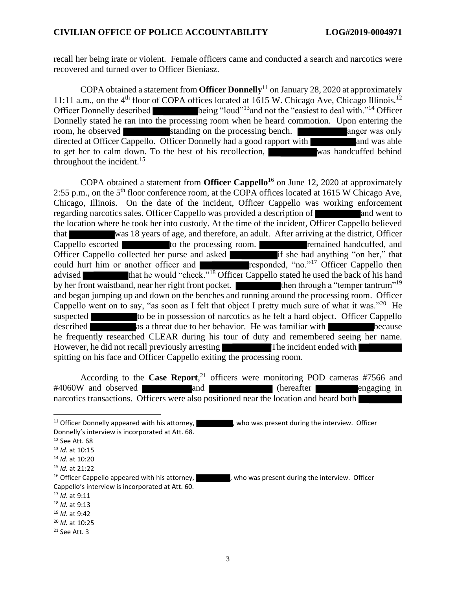recall her being irate or violent. Female officers came and conducted a search and narcotics were recovered and turned over to Officer Bieniasz.

COPA obtained a statement from **Officer Donnelly**<sup>11</sup> on January 28, 2020 at approximately 11:11 a.m., on the  $4<sup>th</sup>$  floor of COPA offices located at 1615 W. Chicago Ave, Chicago Illinois.<sup>12</sup> Officer Donnelly described being "loud"<sup>13</sup>and not the "easiest to deal with."<sup>14</sup> Officer Donnelly stated he ran into the processing room when he heard commotion. Upon entering the room, he observed standing on the processing bench. room, he observed standing on the processing bench. directed at Officer Cappello. Officer Donnelly had a good rapport with and was able to get her to calm down. To the best of his recollection, was handcuffed behind throughout the incident.<sup>15</sup>

COPA obtained a statement from **Officer Cappello**<sup>16</sup> on June 12, 2020 at approximately 2:55 p.m., on the 5<sup>th</sup> floor conference room, at the COPA offices located at 1615 W Chicago Ave, Chicago, Illinois. On the date of the incident, Officer Cappello was working enforcement regarding narcotics sales. Officer Cappello was provided a description of and went to the location where he took her into custody. At the time of the incident, Officer Cappello believed that was 18 years of age, and therefore, an adult. After arriving at the district, Officer Cappello escorted to the processing room. The remained handcuffed, and Officer Cappello collected her purse and asked if she had anything "on her," that could hurt him or another officer and responded, "no."<sup>17</sup> Officer Cappello then advised that he would "check."<sup>18</sup> Officer Cappello stated he used the back of his hand by her front waistband, near her right front pocket. then through a "temper tantrum"<sup>19</sup> and began jumping up and down on the benches and running around the processing room. Officer Cappello went on to say, "as soon as I felt that object I pretty much sure of what it was."<sup>20</sup> He suspected to be in possession of narcotics as he felt a hard object. Officer Cappello described as a threat due to her behavior. He was familiar with because he frequently researched CLEAR during his tour of duty and remembered seeing her name. However, he did not recall previously arresting The incident ended with spitting on his face and Officer Cappello exiting the processing room.

According to the **Case Report**, <sup>21</sup> officers were monitoring POD cameras #7566 and #4060W and observed and and (hereafter engaging in narcotics transactions. Officers were also positioned near the location and heard both

<sup>17</sup> *Id*. at 9:11

- <sup>19</sup> *Id*. at 9:42
- <sup>20</sup> *Id.* at 10:25
- $21$  See Att. 3

<sup>&</sup>lt;sup>11</sup> Officer Donnelly appeared with his attorney,  $\blacksquare$ , who was present during the interview. Officer Donnelly's interview is incorporated at Att. 68.

<sup>12</sup> See Att. 68

<sup>13</sup> *Id.* at 10:15

<sup>14</sup> *Id.* at 10:20

<sup>15</sup> *Id.* at 21:22

<sup>&</sup>lt;sup>16</sup> Officer Cappello appeared with his attorney,  $\blacksquare$ , who was present during the interview. Officer Cappello's interview is incorporated at Att. 60.

<sup>18</sup> *Id.* at 9:13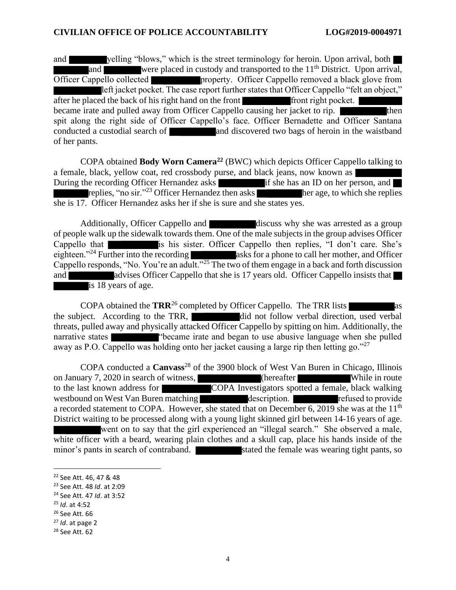and velling "blows," which is the street terminology for heroin. Upon arrival, both and were placed in custody and transported to the  $11<sup>th</sup>$  District. Upon arrival, Officer Cappello collected **property.** Officer Cappello removed a black glove from left jacket pocket. The case report further states that Officer Cappello "felt an object," after he placed the back of his right hand on the front front right pocket. became irate and pulled away from Officer Cappello causing her jacket to rip. spit along the right side of Officer Cappello's face. Officer Bernadette and Officer Santana conducted a custodial search of **and discovered two bags of heroin in the waistband** of her pants.

COPA obtained **Body Worn Camera<sup>22</sup>** (BWC) which depicts Officer Cappello talking to a female, black, yellow coat, red crossbody purse, and black jeans, now known as During the recording Officer Hernandez asks  $\blacksquare$  if she has an ID on her person, and  $\blacksquare$ replies, "no sir."<sup>23</sup> Officer Hernandez then asks her age, to which she replies she is 17. Officer Hernandez asks her if she is sure and she states yes.

Additionally, Officer Cappello and discuss why she was arrested as a group of people walk up the sidewalk towards them. One of the male subjects in the group advises Officer Cappello that is his sister. Officer Cappello then replies, "I don't care. She's eighteen."<sup>24</sup> Further into the recording asks for a phone to call her mother, and Officer Cappello responds, "No. You're an adult."<sup>25</sup> The two of them engage in a back and forth discussion and advises Officer Cappello that she is 17 years old. Officer Cappello insists that is 18 years of age.

COPA obtained the **TRR**<sup>26</sup> completed by Officer Cappello. The TRR lists as the subject. According to the TRR, did not follow verbal direction, used verbal threats, pulled away and physically attacked Officer Cappello by spitting on him. Additionally, the narrative states "became irate and began to use abusive language when she pulled away as P.O. Cappello was holding onto her jacket causing a large rip then letting go."<sup>27</sup>

COPA conducted a **Canvass**<sup>28</sup> of the 3900 block of West Van Buren in Chicago, Illinois on January 7, 2020 in search of witness, (hereafter While in route to the last known address for COPA Investigators spotted a female, black walking westbound on West Van Buren matching description. a recorded statement to COPA. However, she stated that on December 6, 2019 she was at the 11<sup>th</sup> District waiting to be processed along with a young light skinned girl between 14-16 years of age. went on to say that the girl experienced an "illegal search." She observed a male, white officer with a beard, wearing plain clothes and a skull cap, place his hands inside of the minor's pants in search of contraband. Stated the female was wearing tight pants, so

<sup>22</sup> See Att. 46, 47 & 48

<sup>23</sup> See Att. 48 *Id*. at 2:09

<sup>24</sup> See Att. 47 *Id*. at 3:52

<sup>25</sup> *Id*. at 4:52

<sup>26</sup> See Att. 66

<sup>27</sup> *Id*. at page 2

<sup>28</sup> See Att. 62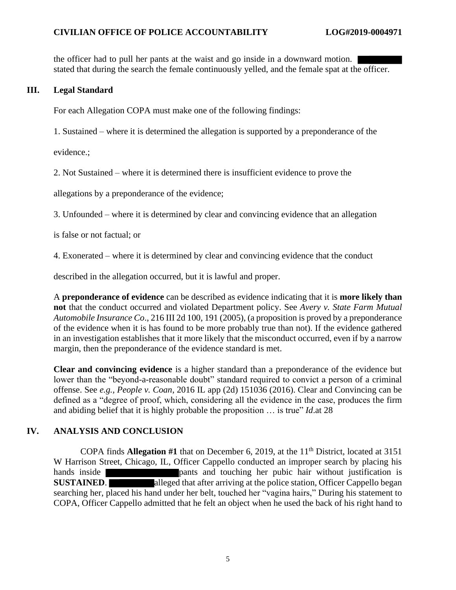#### **CIVILIAN OFFICE OF POLICE ACCOUNTABILITY LOG#2019-0004971**

the officer had to pull her pants at the waist and go inside in a downward motion. stated that during the search the female continuously yelled, and the female spat at the officer.

#### **III. Legal Standard**

For each Allegation COPA must make one of the following findings:

1. Sustained – where it is determined the allegation is supported by a preponderance of the

evidence.;

2. Not Sustained – where it is determined there is insufficient evidence to prove the

allegations by a preponderance of the evidence;

3. Unfounded – where it is determined by clear and convincing evidence that an allegation

- is false or not factual; or
- 4. Exonerated where it is determined by clear and convincing evidence that the conduct

described in the allegation occurred, but it is lawful and proper.

A **preponderance of evidence** can be described as evidence indicating that it is **more likely than not** that the conduct occurred and violated Department policy. See *Avery v. State Farm Mutual Automobile Insurance Co*., 216 III 2d 100, 191 (2005), (a proposition is proved by a preponderance of the evidence when it is has found to be more probably true than not). If the evidence gathered in an investigation establishes that it more likely that the misconduct occurred, even if by a narrow margin, then the preponderance of the evidence standard is met.

**Clear and convincing evidence** is a higher standard than a preponderance of the evidence but lower than the "beyond-a-reasonable doubt" standard required to convict a person of a criminal offense. See *e.g., People v. Coan*, 2016 IL app (2d) 151036 (2016). Clear and Convincing can be defined as a "degree of proof, which, considering all the evidence in the case, produces the firm and abiding belief that it is highly probable the proposition … is true" *Id*.at 28

## **IV. ANALYSIS AND CONCLUSION**

COPA finds **Allegation #1** that on December 6, 2019, at the 11<sup>th</sup> District, located at 3151 W Harrison Street, Chicago, IL, Officer Cappello conducted an improper search by placing his hands inside **pants** and touching her pubic hair without justification is **SUSTAINED.** alleged that after arriving at the police station, Officer Cappello began searching her, placed his hand under her belt, touched her "vagina hairs," During his statement to COPA, Officer Cappello admitted that he felt an object when he used the back of his right hand to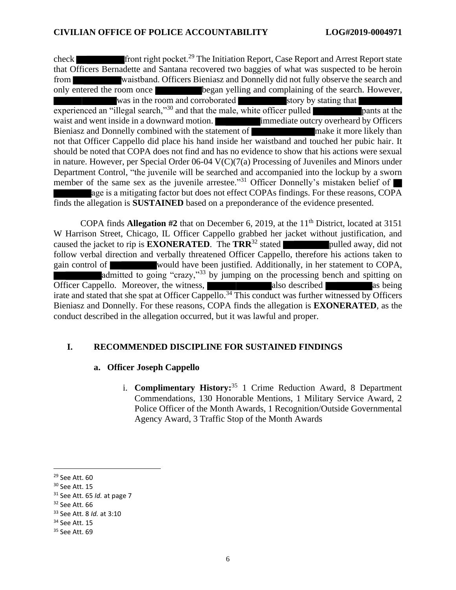check front right pocket.<sup>29</sup> The Initiation Report, Case Report and Arrest Report state that Officers Bernadette and Santana recovered two baggies of what was suspected to be heroin from waistband. Officers Bieniasz and Donnelly did not fully observe the search and only entered the room once began yelling and complaining of the search. However, was in the room and corroborated story by stating that experienced an "illegal search,"<sup>30</sup> and that the male, white officer pulled **pants** at the waist and went inside in a downward motion. **immediate outcry overheard by Officers** Bieniasz and Donnelly combined with the statement of make it more likely than not that Officer Cappello did place his hand inside her waistband and touched her pubic hair. It should be noted that COPA does not find and has no evidence to show that his actions were sexual in nature. However, per Special Order  $06-04$  V(C)(7(a) Processing of Juveniles and Minors under Department Control, "the juvenile will be searched and accompanied into the lockup by a sworn member of the same sex as the juvenile arrestee."<sup>31</sup> Officer Donnelly's mistaken belief of age is a mitigating factor but does not effect COPAs findings. For these reasons, COPA finds the allegation is **SUSTAINED** based on a preponderance of the evidence presented.

COPA finds **Allegation #2** that on December 6, 2019, at the 11<sup>th</sup> District, located at 3151 W Harrison Street, Chicago, IL Officer Cappello grabbed her jacket without justification, and caused the jacket to rip is **EXONERATED**. The  $\text{TRR}^{32}$  stated pulled away, did not follow verbal direction and verbally threatened Officer Cappello, therefore his actions taken to gain control of would have been justified. Additionally, in her statement to COPA, admitted to going "crazy,"<sup>33</sup> by jumping on the processing bench and spitting on Officer Cappello. Moreover, the witness, also described as being irate and stated that she spat at Officer Cappello.<sup>34</sup> This conduct was further witnessed by Officers Bieniasz and Donnelly. For these reasons, COPA finds the allegation is **EXONERATED**, as the conduct described in the allegation occurred, but it was lawful and proper.

#### **I. RECOMMENDED DISCIPLINE FOR SUSTAINED FINDINGS**

#### **a. Officer Joseph Cappello**

i. **Complimentary History:** <sup>35</sup> 1 Crime Reduction Award, 8 Department Commendations, 130 Honorable Mentions, 1 Military Service Award, 2 Police Officer of the Month Awards, 1 Recognition/Outside Governmental Agency Award, 3 Traffic Stop of the Month Awards

<sup>29</sup> See Att. 60

<sup>30</sup> See Att. 15

<sup>31</sup> See Att. 65 *Id.* at page 7

<sup>32</sup> See Att. 66

<sup>33</sup> See Att. 8 *Id.* at 3:10

<sup>34</sup> See Att. 15

<sup>35</sup> See Att. 69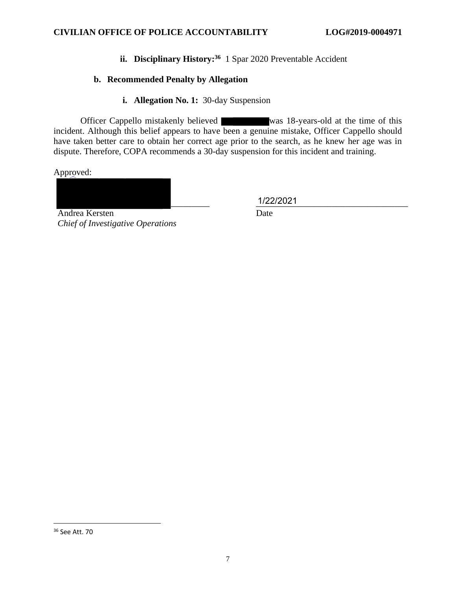**ii. Disciplinary History:<sup>36</sup>** 1 Spar 2020 Preventable Accident

# **b. Recommended Penalty by Allegation**

**i. Allegation No. 1:** 30-day Suspension

Officer Cappello mistakenly believed was 18-years-old at the time of this incident. Although this belief appears to have been a genuine mistake, Officer Cappello should have taken better care to obtain her correct age prior to the search, as he knew her age was in dispute. Therefore, COPA recommends a 30-day suspension for this incident and training.

Approved:

\_\_\_\_\_\_\_\_\_ \_\_\_\_\_\_\_\_\_\_\_\_\_\_\_\_\_\_\_\_\_\_\_\_\_\_\_\_\_\_\_\_\_\_ 1/22/2021

Date

Andrea Kersten *Chief of Investigative Operations* 

<sup>36</sup> See Att. 70